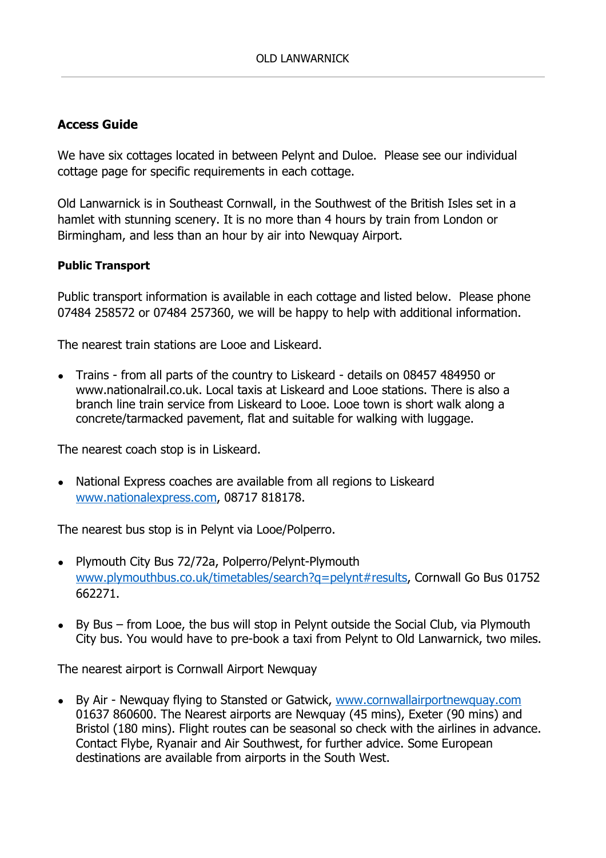# Access Guide

We have six cottages located in between Pelynt and Duloe. Please see our individual cottage page for specific requirements in each cottage.

Old Lanwarnick is in Southeast Cornwall, in the Southwest of the British Isles set in a hamlet with stunning scenery. It is no more than 4 hours by train from London or Birmingham, and less than an hour by air into Newquay Airport.

### Public Transport

Public transport information is available in each cottage and listed below. Please phone 07484 258572 or 07484 257360, we will be happy to help with additional information.

The nearest train stations are Looe and Liskeard.

● Trains - from all parts of the country to Liskeard - details on 08457 484950 or www.nationalrail.co.uk. Local taxis at Liskeard and Looe stations. There is also a branch line train service from Liskeard to Looe. Looe town is short walk along a concrete/tarmacked pavement, flat and suitable for walking with luggage.

The nearest coach stop is in Liskeard.

• National Express coaches are available from all regions to Liskeard www.nationalexpress.com, 08717 818178.

The nearest bus stop is in Pelynt via Looe/Polperro.

- Plymouth City Bus 72/72a, Polperro/Pelynt-Plymouth www.plymouthbus.co.uk/timetables/search?q=pelynt#results, Cornwall Go Bus 01752 662271.
- $\bullet$  By Bus from Looe, the bus will stop in Pelynt outside the Social Club, via Plymouth City bus. You would have to pre-book a taxi from Pelynt to Old Lanwarnick, two miles.

The nearest airport is Cornwall Airport Newquay

● By Air - Newquay flying to Stansted or Gatwick, www.cornwallairportnewquay.com 01637 860600. The Nearest airports are Newquay (45 mins), Exeter (90 mins) and Bristol (180 mins). Flight routes can be seasonal so check with the airlines in advance. Contact Flybe, Ryanair and Air Southwest, for further advice. Some European destinations are available from airports in the South West.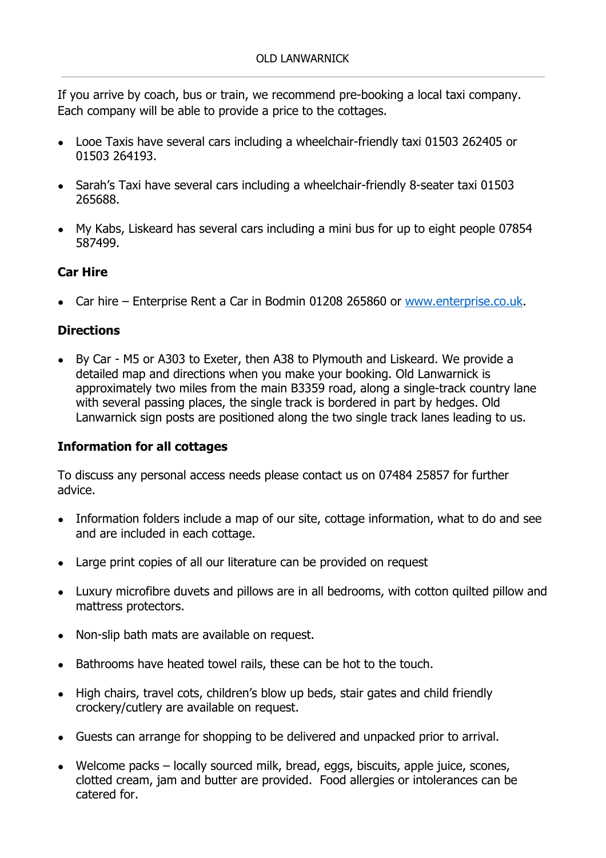If you arrive by coach, bus or train, we recommend pre-booking a local taxi company. Each company will be able to provide a price to the cottages.

- Looe Taxis have several cars including a wheelchair-friendly taxi 01503 262405 or 01503 264193.
- Sarah's Taxi have several cars including a wheelchair-friendly 8-seater taxi 01503 265688.
- My Kabs, Liskeard has several cars including a mini bus for up to eight people 07854 587499.

# Car Hire

• Car hire – Enterprise Rent a Car in Bodmin 01208 265860 or www.enterprise.co.uk.

## **Directions**

● By Car - M5 or A303 to Exeter, then A38 to Plymouth and Liskeard. We provide a detailed map and directions when you make your booking. Old Lanwarnick is approximately two miles from the main B3359 road, along a single-track country lane with several passing places, the single track is bordered in part by hedges. Old Lanwarnick sign posts are positioned along the two single track lanes leading to us.

## Information for all cottages

To discuss any personal access needs please contact us on 07484 25857 for further advice.

- Information folders include a map of our site, cottage information, what to do and see and are included in each cottage.
- Large print copies of all our literature can be provided on request
- Luxury microfibre duvets and pillows are in all bedrooms, with cotton quilted pillow and mattress protectors.
- Non-slip bath mats are available on request.
- Bathrooms have heated towel rails, these can be hot to the touch.
- High chairs, travel cots, children's blow up beds, stair gates and child friendly crockery/cutlery are available on request.
- Guests can arrange for shopping to be delivered and unpacked prior to arrival.
- Welcome packs locally sourced milk, bread, eggs, biscuits, apple juice, scones, clotted cream, jam and butter are provided. Food allergies or intolerances can be catered for.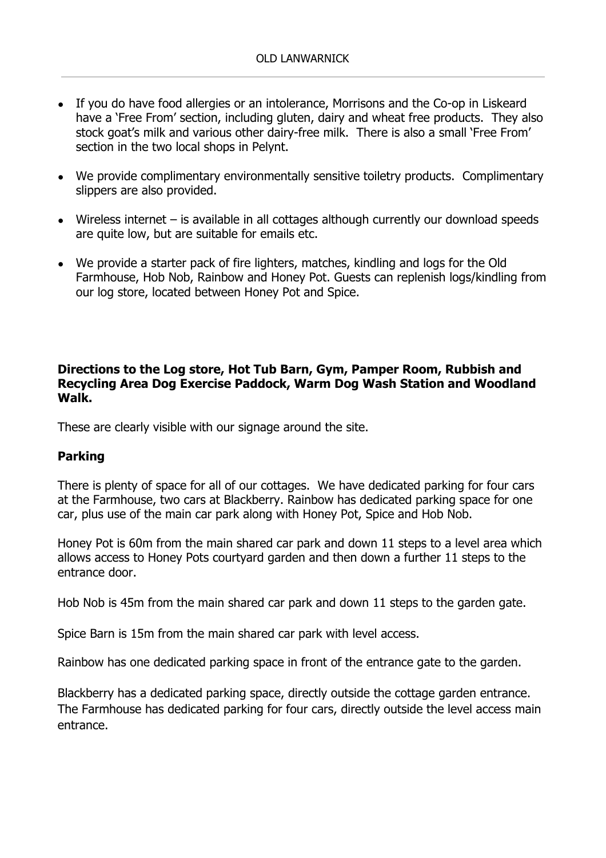- If you do have food allergies or an intolerance, Morrisons and the Co-op in Liskeard have a 'Free From' section, including gluten, dairy and wheat free products. They also stock goat's milk and various other dairy-free milk. There is also a small 'Free From' section in the two local shops in Pelynt.
- We provide complimentary environmentally sensitive toiletry products. Complimentary slippers are also provided.
- Wireless internet is available in all cottages although currently our download speeds are quite low, but are suitable for emails etc.
- We provide a starter pack of fire lighters, matches, kindling and logs for the Old Farmhouse, Hob Nob, Rainbow and Honey Pot. Guests can replenish logs/kindling from our log store, located between Honey Pot and Spice.

## Directions to the Log store, Hot Tub Barn, Gym, Pamper Room, Rubbish and Recycling Area Dog Exercise Paddock, Warm Dog Wash Station and Woodland Walk.

These are clearly visible with our signage around the site.

## Parking

There is plenty of space for all of our cottages. We have dedicated parking for four cars at the Farmhouse, two cars at Blackberry. Rainbow has dedicated parking space for one car, plus use of the main car park along with Honey Pot, Spice and Hob Nob.

Honey Pot is 60m from the main shared car park and down 11 steps to a level area which allows access to Honey Pots courtyard garden and then down a further 11 steps to the entrance door.

Hob Nob is 45m from the main shared car park and down 11 steps to the garden gate.

Spice Barn is 15m from the main shared car park with level access.

Rainbow has one dedicated parking space in front of the entrance gate to the garden.

Blackberry has a dedicated parking space, directly outside the cottage garden entrance. The Farmhouse has dedicated parking for four cars, directly outside the level access main entrance.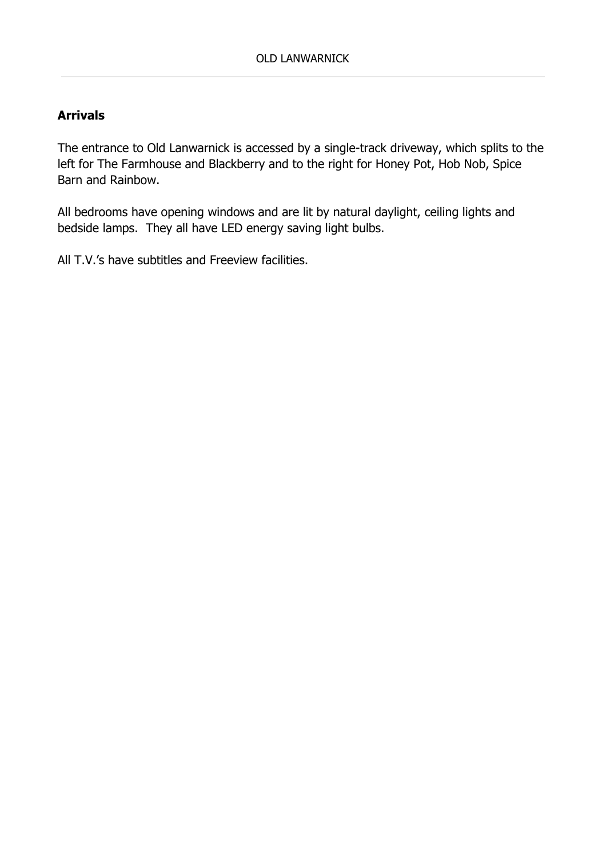# Arrivals

The entrance to Old Lanwarnick is accessed by a single-track driveway, which splits to the left for The Farmhouse and Blackberry and to the right for Honey Pot, Hob Nob, Spice Barn and Rainbow.

All bedrooms have opening windows and are lit by natural daylight, ceiling lights and bedside lamps. They all have LED energy saving light bulbs.

All T.V.'s have subtitles and Freeview facilities.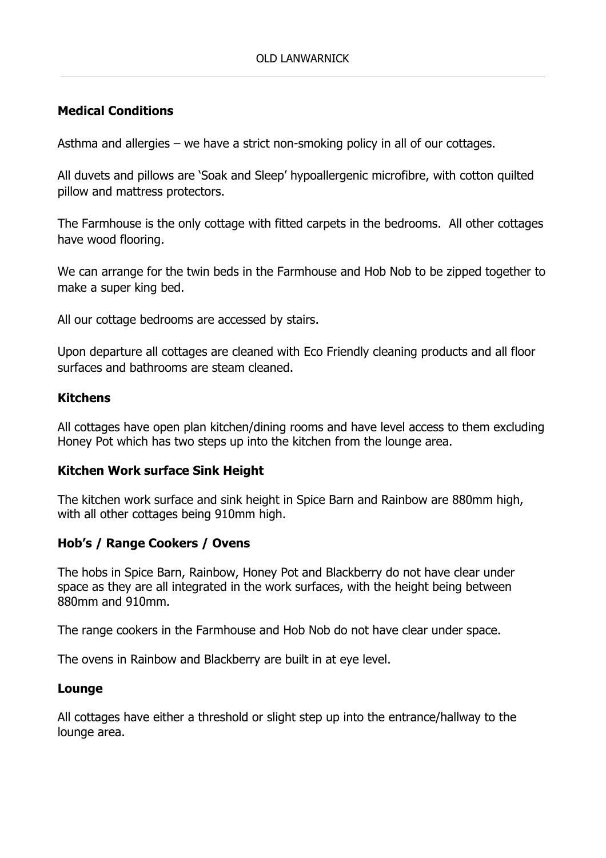## Medical Conditions

Asthma and allergies – we have a strict non-smoking policy in all of our cottages.

All duvets and pillows are 'Soak and Sleep' hypoallergenic microfibre, with cotton quilted pillow and mattress protectors.

The Farmhouse is the only cottage with fitted carpets in the bedrooms. All other cottages have wood flooring.

We can arrange for the twin beds in the Farmhouse and Hob Nob to be zipped together to make a super king bed.

All our cottage bedrooms are accessed by stairs.

Upon departure all cottages are cleaned with Eco Friendly cleaning products and all floor surfaces and bathrooms are steam cleaned.

### Kitchens

All cottages have open plan kitchen/dining rooms and have level access to them excluding Honey Pot which has two steps up into the kitchen from the lounge area.

## Kitchen Work surface Sink Height

The kitchen work surface and sink height in Spice Barn and Rainbow are 880mm high, with all other cottages being 910mm high.

## Hob's / Range Cookers / Ovens

The hobs in Spice Barn, Rainbow, Honey Pot and Blackberry do not have clear under space as they are all integrated in the work surfaces, with the height being between 880mm and 910mm.

The range cookers in the Farmhouse and Hob Nob do not have clear under space.

The ovens in Rainbow and Blackberry are built in at eye level.

#### Lounge

All cottages have either a threshold or slight step up into the entrance/hallway to the lounge area.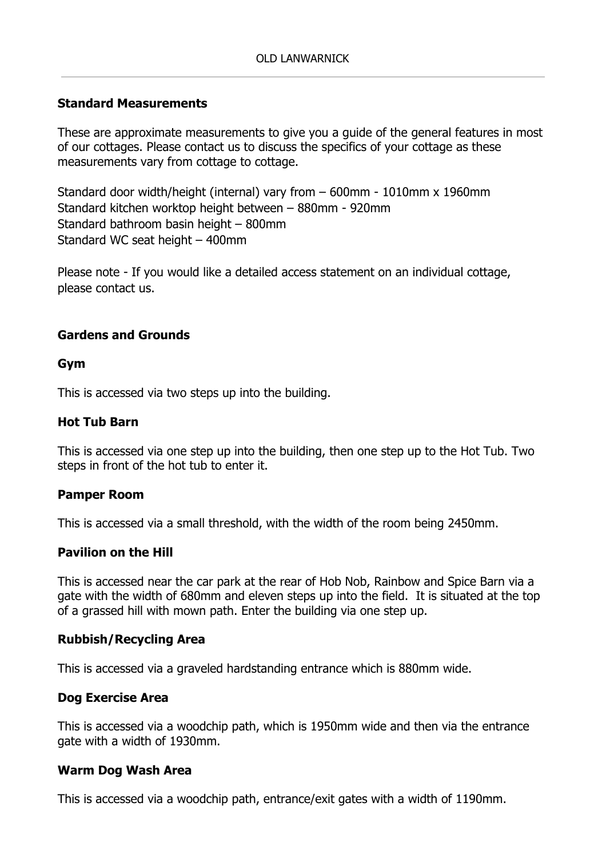### Standard Measurements

These are approximate measurements to give you a guide of the general features in most of our cottages. Please contact us to discuss the specifics of your cottage as these measurements vary from cottage to cottage.

Standard door width/height (internal) vary from – 600mm - 1010mm x 1960mm Standard kitchen worktop height between – 880mm - 920mm Standard bathroom basin height – 800mm Standard WC seat height – 400mm

Please note - If you would like a detailed access statement on an individual cottage, please contact us.

### Gardens and Grounds

#### Gym

This is accessed via two steps up into the building.

#### Hot Tub Barn

This is accessed via one step up into the building, then one step up to the Hot Tub. Two steps in front of the hot tub to enter it.

#### Pamper Room

This is accessed via a small threshold, with the width of the room being 2450mm.

#### Pavilion on the Hill

This is accessed near the car park at the rear of Hob Nob, Rainbow and Spice Barn via a gate with the width of 680mm and eleven steps up into the field. It is situated at the top of a grassed hill with mown path. Enter the building via one step up.

#### Rubbish/Recycling Area

This is accessed via a graveled hardstanding entrance which is 880mm wide.

#### Dog Exercise Area

This is accessed via a woodchip path, which is 1950mm wide and then via the entrance gate with a width of 1930mm.

#### Warm Dog Wash Area

This is accessed via a woodchip path, entrance/exit gates with a width of 1190mm.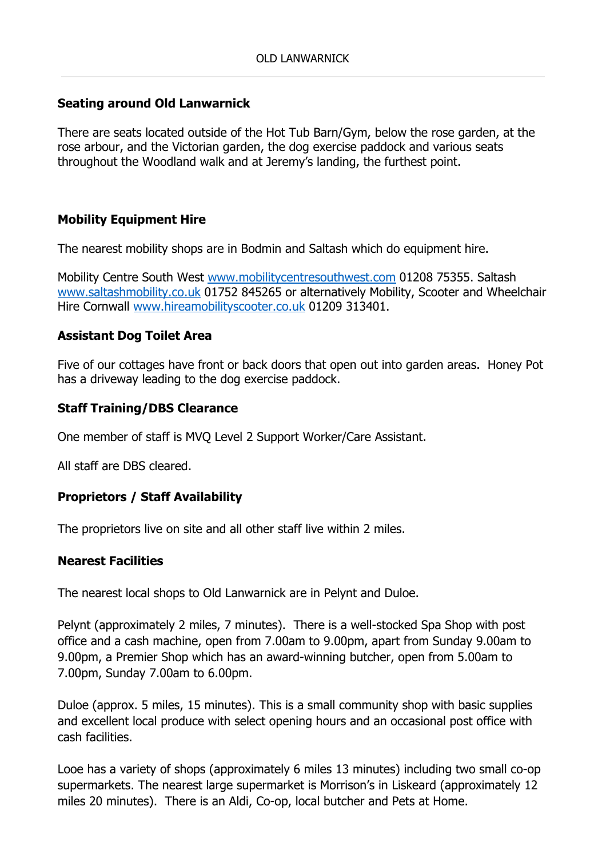## Seating around Old Lanwarnick

There are seats located outside of the Hot Tub Barn/Gym, below the rose garden, at the rose arbour, and the Victorian garden, the dog exercise paddock and various seats throughout the Woodland walk and at Jeremy's landing, the furthest point.

# Mobility Equipment Hire

The nearest mobility shops are in Bodmin and Saltash which do equipment hire.

Mobility Centre South West www.mobilitycentresouthwest.com 01208 75355. Saltash www.saltashmobility.co.uk 01752 845265 or alternatively Mobility, Scooter and Wheelchair Hire Cornwall www.hireamobilityscooter.co.uk 01209 313401.

## Assistant Dog Toilet Area

Five of our cottages have front or back doors that open out into garden areas. Honey Pot has a driveway leading to the dog exercise paddock.

## Staff Training/DBS Clearance

One member of staff is MVQ Level 2 Support Worker/Care Assistant.

All staff are DBS cleared.

## Proprietors / Staff Availability

The proprietors live on site and all other staff live within 2 miles.

## Nearest Facilities

The nearest local shops to Old Lanwarnick are in Pelynt and Duloe.

Pelynt (approximately 2 miles, 7 minutes). There is a well-stocked Spa Shop with post office and a cash machine, open from 7.00am to 9.00pm, apart from Sunday 9.00am to 9.00pm, a Premier Shop which has an award-winning butcher, open from 5.00am to 7.00pm, Sunday 7.00am to 6.00pm.

Duloe (approx. 5 miles, 15 minutes). This is a small community shop with basic supplies and excellent local produce with select opening hours and an occasional post office with cash facilities.

Looe has a variety of shops (approximately 6 miles 13 minutes) including two small co-op supermarkets. The nearest large supermarket is Morrison's in Liskeard (approximately 12 miles 20 minutes). There is an Aldi, Co-op, local butcher and Pets at Home.